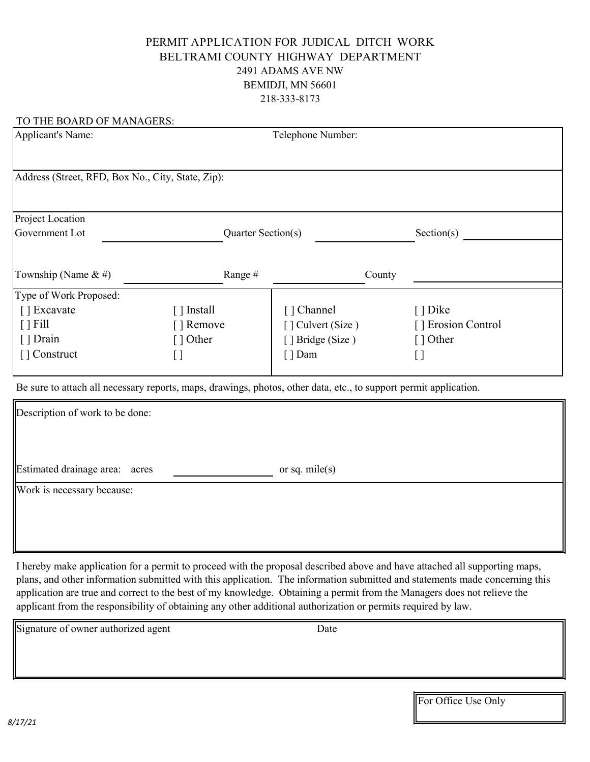#### PERMIT APPLICATION FOR JUDICAL DITCH WORK BELTRAMI COUNTY HIGHWAY DEPARTMENT 2491 ADAMS AVE NW BEMIDJI, MN 56601 218-333-8173

| TO THE BOARD OF MANAGERS:                                                                                         |                    |                         |                    |  |
|-------------------------------------------------------------------------------------------------------------------|--------------------|-------------------------|--------------------|--|
| <b>Applicant's Name:</b>                                                                                          |                    | Telephone Number:       |                    |  |
|                                                                                                                   |                    |                         |                    |  |
| Address (Street, RFD, Box No., City, State, Zip):                                                                 |                    |                         |                    |  |
|                                                                                                                   |                    |                         |                    |  |
| Project Location                                                                                                  |                    |                         |                    |  |
| Government Lot                                                                                                    | Quarter Section(s) |                         | Section(s)         |  |
|                                                                                                                   |                    |                         |                    |  |
| Township (Name $\&$ #)                                                                                            | Range#             | County                  |                    |  |
| Type of Work Proposed:                                                                                            |                    |                         |                    |  |
| [ ] Excavate                                                                                                      | [ ] Install        | [ ] Channel             | [ ] Dike           |  |
| $\lceil$   Fill                                                                                                   | [ ] Remove         | $\lceil$ Culvert (Size) | [] Erosion Control |  |
| [ ] Drain                                                                                                         | [ ] Other          | [ ] Bridge (Size)       | $\lceil$ 1 Other   |  |
| [] Construct                                                                                                      | []                 | $[ ]$ Dam               | []                 |  |
|                                                                                                                   |                    |                         |                    |  |
| Be sure to attach all necessary reports, maps, drawings, photos, other data, etc., to support permit application. |                    |                         |                    |  |
| Description of work to be done:                                                                                   |                    |                         |                    |  |

Estimated drainage area: acres or sq. mile(s) Work is necessary because:

I hereby make application for a permit to proceed with the proposal described above and have attached all supporting maps, plans, and other information submitted with this application. The information submitted and statements made concerning this application are true and correct to the best of my knowledge. Obtaining a permit from the Managers does not relieve the applicant from the responsibility of obtaining any other additional authorization or permits required by law.

Signature of owner authorized agent Date

For Office Use Only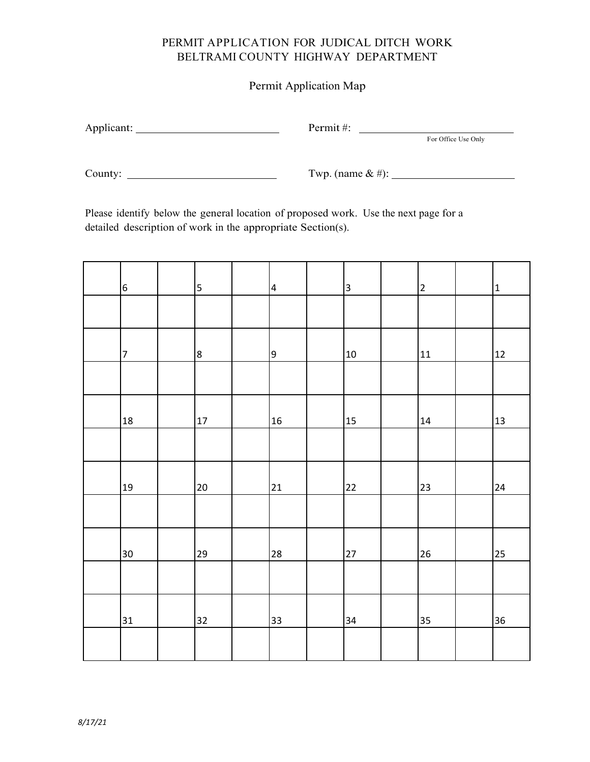### PERMIT APPLICATION FOR JUDICAL DITCH WORK BELTRAMI COUNTY HIGHWAY DEPARTMENT

#### Permit Application Map

 $\text{Permit }$ #:  $\text{For Office Use Only}$ 

County: Twp. (name & #):

Please identify below the general location of proposed work. Use the next page for a detailed description of work in the appropriate Section(s).

| $6\phantom{.}6$  | 5  | $\overline{a}$ | $\overline{\mathbf{3}}$ | $\overline{2}$ | $\mathbf{1}$ |
|------------------|----|----------------|-------------------------|----------------|--------------|
|                  |    |                |                         |                |              |
| $\boldsymbol{7}$ | 8  | $\overline{9}$ | $10\,$                  | 11             | 12           |
|                  |    |                |                         |                |              |
| 18               | 17 | 16             | 15                      | 14             | 13           |
|                  |    |                |                         |                |              |
| 19               | 20 | 21             | 22                      | 23             | 24           |
|                  |    |                |                         |                |              |
| 30               | 29 | 28             | 27                      | 26             | 25           |
|                  |    |                |                         |                |              |
| 31               | 32 | 33             | 34                      | 35             | 36           |
|                  |    |                |                         |                |              |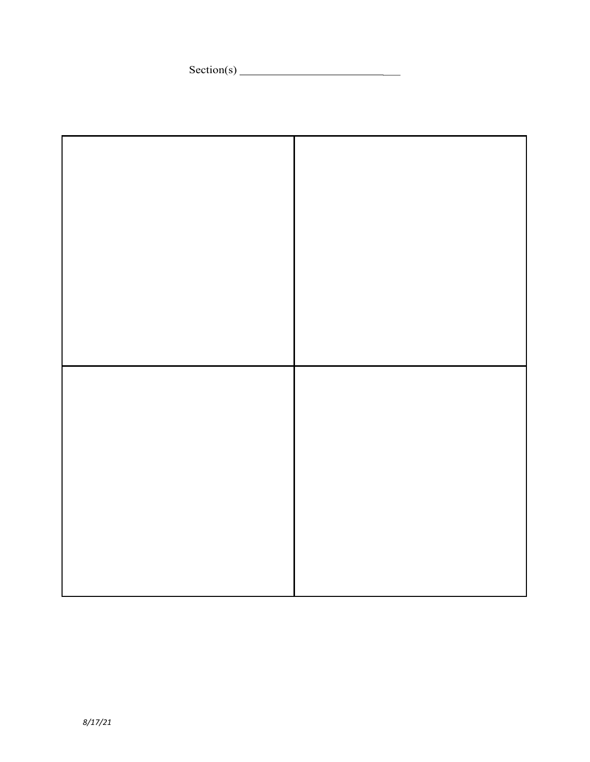Section(s) \_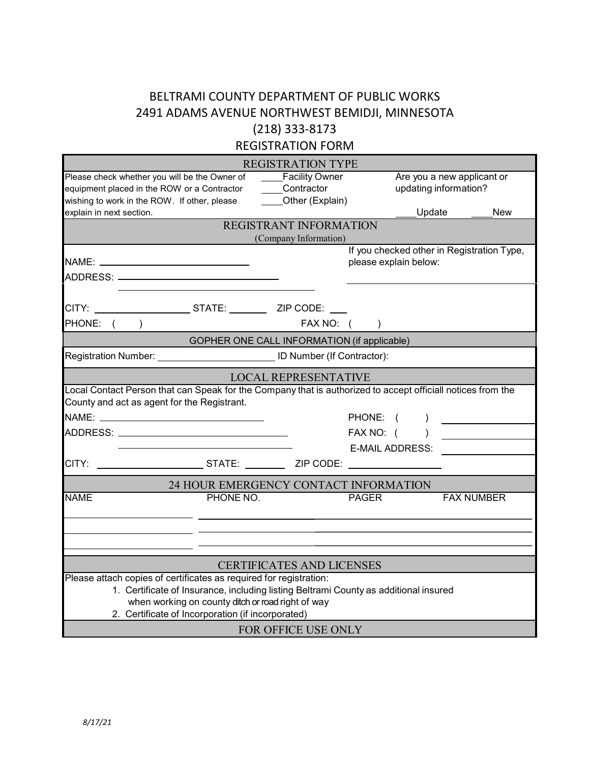## BELTRAMI COUNTY DEPARTMENT OF PUBLIC WORKS 2491 ADAMS AVENUE NORTHWEST BEMIDJI, MINNESOTA (218) 333-8173

REGISTRATION FORM

|                                                                                                                                              | <b>REGISTRATION TYPE</b>                                     |                                                                     |                                                     |                   |
|----------------------------------------------------------------------------------------------------------------------------------------------|--------------------------------------------------------------|---------------------------------------------------------------------|-----------------------------------------------------|-------------------|
| Please check whether you will be the Owner of<br>equipment placed in the ROW or a Contractor<br>wishing to work in the ROW. If other, please | ____Facility Owner<br>____Contractor<br>_____Other (Explain) |                                                                     | Are you a new applicant or<br>updating information? |                   |
| explain in next section.                                                                                                                     |                                                              |                                                                     | Update                                              | <b>New</b>        |
|                                                                                                                                              | REGISTRANT INFORMATION                                       |                                                                     |                                                     |                   |
|                                                                                                                                              | (Company Information)                                        |                                                                     |                                                     |                   |
|                                                                                                                                              |                                                              | If you checked other in Registration Type,<br>please explain below: |                                                     |                   |
|                                                                                                                                              |                                                              |                                                                     |                                                     |                   |
| CITY: STATE: ZIP CODE:                                                                                                                       |                                                              |                                                                     |                                                     |                   |
| PHONE:                                                                                                                                       | FAX NO:                                                      |                                                                     |                                                     |                   |
|                                                                                                                                              | GOPHER ONE CALL INFORMATION (if applicable)                  |                                                                     |                                                     |                   |
| Registration Number: ______________________________ ID Number (If Contractor):                                                               |                                                              |                                                                     |                                                     |                   |
|                                                                                                                                              | <b>LOCAL REPRESENTATIVE</b>                                  |                                                                     |                                                     |                   |
| Local Contact Person that can Speak for the Company that is authorized to accept officiall notices from the                                  |                                                              |                                                                     |                                                     |                   |
| County and act as agent for the Registrant.                                                                                                  |                                                              |                                                                     |                                                     |                   |
|                                                                                                                                              |                                                              | PHONE: (                                                            | $\lambda$                                           |                   |
|                                                                                                                                              |                                                              | FAX NO: (                                                           |                                                     |                   |
|                                                                                                                                              |                                                              | <b>E-MAIL ADDRESS:</b>                                              |                                                     |                   |
| CITY:                                                                                                                                        |                                                              |                                                                     |                                                     |                   |
|                                                                                                                                              | 24 HOUR EMERGENCY CONTACT INFORMATION                        |                                                                     |                                                     |                   |
| <b>NAME</b><br>PHONE NO.                                                                                                                     |                                                              | <b>PAGER</b>                                                        |                                                     | <b>FAX NUMBER</b> |
|                                                                                                                                              |                                                              |                                                                     |                                                     |                   |
|                                                                                                                                              |                                                              |                                                                     |                                                     |                   |
|                                                                                                                                              |                                                              |                                                                     |                                                     |                   |
|                                                                                                                                              | <b>CERTIFICATES AND LICENSES</b>                             |                                                                     |                                                     |                   |
| Please attach copies of certificates as required for registration:                                                                           |                                                              |                                                                     |                                                     |                   |
| 1. Certificate of Insurance, including listing Beltrami County as additional insured<br>when working on county ditch or road right of way    |                                                              |                                                                     |                                                     |                   |
| 2. Certificate of Incorporation (if incorporated)                                                                                            |                                                              |                                                                     |                                                     |                   |
|                                                                                                                                              | <b>FOR OFFICE USE ONLY</b>                                   |                                                                     |                                                     |                   |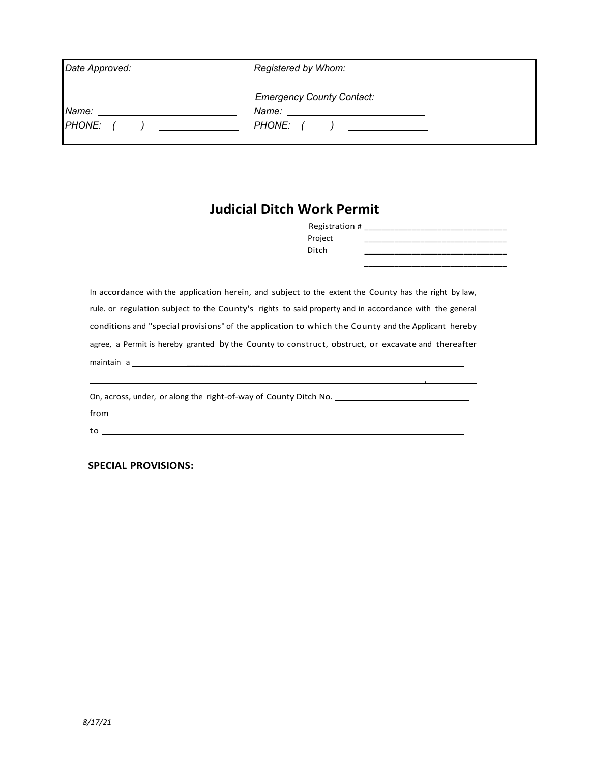| Date Approved: _ | Registered by Whom:                                                         |
|------------------|-----------------------------------------------------------------------------|
|                  | <b>Emergency County Contact:</b>                                            |
| Name:            | Name:                                                                       |
| <b>PHONE:</b>    | PHONE: (<br>$\mathbf{I}$ and $\mathbf{I}$ and $\mathbf{I}$ and $\mathbf{I}$ |

# **Judicial Ditch Work Permit**

| Registration # |  |
|----------------|--|
| Project        |  |
| Ditch          |  |
|                |  |

, where  $\mathcal{L}$  is the set of  $\mathcal{L}$ 

In accordance with the application herein, and subject to the extent the County has the right by law, rule. or regulation subject to the County's rights to said property and in accordance with the general conditions and "special provisions" of the application to which the County and the Applicant hereby agree, a Permit is hereby granted by the County to construct, obstruct, or excavate and thereafter maintain a service and the service and the service and the service and the service and the service and the service and the service and the service and the service and the service and the service and the service and the ser

l

On, across, under, or along the right-of-way of County Ditch No.

from

to

**SPECIAL PROVISIONS:**